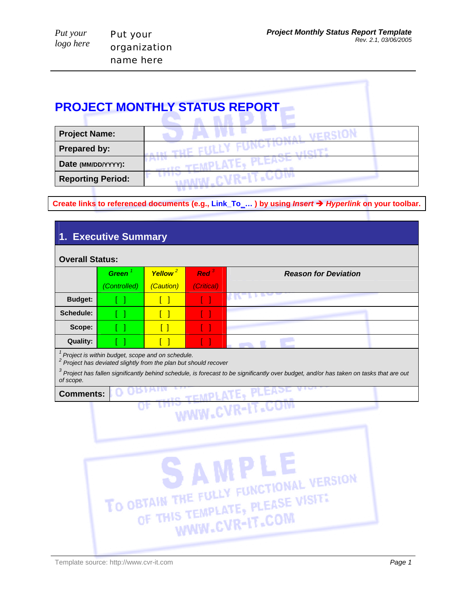| Put your  | Put your     |
|-----------|--------------|
| logo here | organization |
|           | name here    |

## **PROJECT MONTHLY STATUS REPORT**

| <b>Project Name:</b>     |  |
|--------------------------|--|
| Prepared by:             |  |
| Date (MM/DD/YYYY):       |  |
| <b>Reporting Period:</b> |  |

**Create links to referenced documents (e.g., Link\_To\_… ) by using** *Insert* Î *Hyperlink* **on your toolbar.** 

| 1. Executive Summary          |                                                                                                                            |                                  |                                |                                                                                                                                                      |  |
|-------------------------------|----------------------------------------------------------------------------------------------------------------------------|----------------------------------|--------------------------------|------------------------------------------------------------------------------------------------------------------------------------------------------|--|
| <b>Overall Status:</b>        |                                                                                                                            |                                  |                                |                                                                                                                                                      |  |
|                               | Green <sup>1</sup><br>(Controlled)                                                                                         | Yellow <sup>2</sup><br>(Caution) | Red <sup>3</sup><br>(Critical) | <b>Reason for Deviation</b>                                                                                                                          |  |
| <b>Budget:</b>                |                                                                                                                            | $\Box$                           | I.                             | t K"                                                                                                                                                 |  |
| Schedule:                     |                                                                                                                            | $\lceil$ $\rceil$                | $\Box$                         |                                                                                                                                                      |  |
| Scope:                        |                                                                                                                            | $\lceil$ $\rceil$                | U                              |                                                                                                                                                      |  |
| <b>Quality:</b>               |                                                                                                                            | $\begin{bmatrix} \end{bmatrix}$  | H                              |                                                                                                                                                      |  |
| of scope.<br><b>Comments:</b> | $1$ Project is within budget, scope and on schedule.<br>$2$ Project has deviated slightly from the plan but should recover |                                  |                                | $3$ Project has fallen significantly behind schedule, is forecast to be significantly over budget, and/or has taken on tasks that are out            |  |
|                               |                                                                                                                            |                                  |                                | <b>IS TEMPLATE, PLEADE</b><br>WWW.CVR-IT.COM<br>AMPLE<br>TO OBTAIN THE FULLY FUNCTIONAL VERSION<br>OF THIS TEMPLATE, PLEASE VISITE<br>WWW.CVR-IT.COM |  |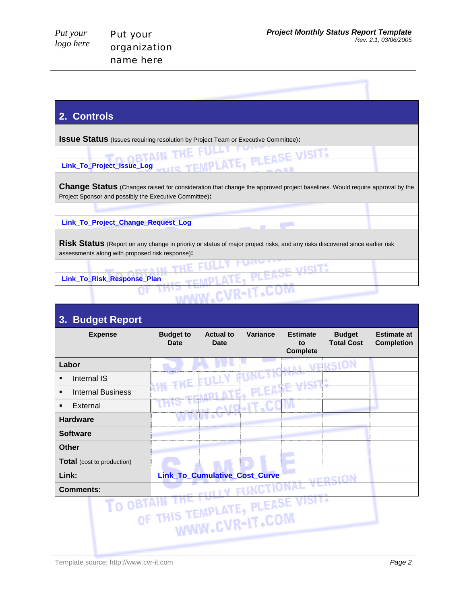VISIT

| Put your  |  |
|-----------|--|
| logo here |  |

## **2. Controls**

**ISSUE Status** (Issues requiring resolution by Project Team or Executive Committee):

**Link\_To\_Project\_Issue\_Log**  TEMP

**OF A LKE** 

**Change Status** (Changes raised for consideration that change the approved project baselines. Would require approval by the Project Sponsor and possibly the Executive Committee)**:**

t.

**Link\_To\_Project\_Change\_Request\_Log** 

**Risk Status** (Report on any change in priority or status of major project risks, and any risks discovered since earlier risk assessments along with proposed risk response)**:**

**Link\_To\_Risk\_Response\_Plan**

| <b>Budget Report</b><br>3.        |                                 |                                 |            |                                          |                                    |                                         |
|-----------------------------------|---------------------------------|---------------------------------|------------|------------------------------------------|------------------------------------|-----------------------------------------|
| <b>Expense</b>                    | <b>Budget to</b><br><b>Date</b> | <b>Actual to</b><br><b>Date</b> | Variance   | <b>Estimate</b><br>to<br><b>Complete</b> | <b>Budget</b><br><b>Total Cost</b> | <b>Estimate at</b><br><b>Completion</b> |
| Labor                             |                                 |                                 |            |                                          | VERSION                            |                                         |
| Internal IS<br>٠                  |                                 |                                 |            | an an Ei                                 |                                    |                                         |
| <b>Internal Business</b><br>٠     |                                 |                                 |            |                                          |                                    |                                         |
| External<br>٠                     |                                 |                                 | CVR-IT.COM |                                          |                                    |                                         |
| <b>Hardware</b>                   |                                 |                                 |            |                                          |                                    |                                         |
| <b>Software</b>                   |                                 |                                 |            |                                          |                                    |                                         |
| Other                             |                                 |                                 |            |                                          |                                    |                                         |
| <b>Total</b> (cost to production) |                                 |                                 |            |                                          |                                    |                                         |
| Link:                             |                                 | Link_To_Cumulative_Cost_Curve   |            |                                          | VEDSION                            |                                         |
| <b>Comments:</b>                  |                                 |                                 |            |                                          |                                    |                                         |
| <b>LO OBTAIN</b>                  | OF THIS TEMPLATE, PLEASE VISITE | WWW.CVR-IT.COM                  |            |                                          |                                    |                                         |

Template source: http://www.cvr-it.com *Page 2*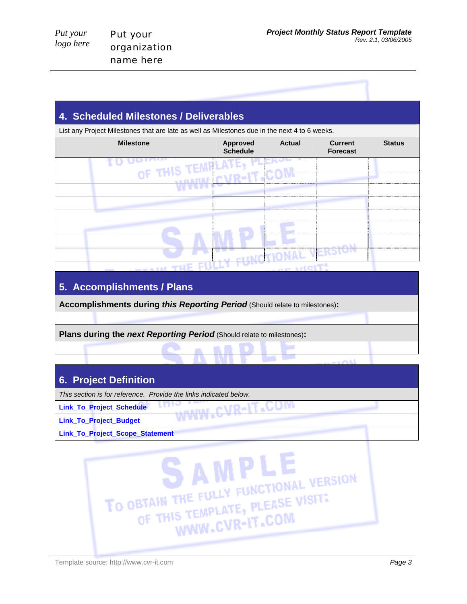| Put your  |
|-----------|
| logo here |

| 4. Scheduled Milestones / Deliverables                                                        |                                    |               |                                   |               |
|-----------------------------------------------------------------------------------------------|------------------------------------|---------------|-----------------------------------|---------------|
| List any Project Milestones that are late as well as Milestones due in the next 4 to 6 weeks. |                                    |               |                                   |               |
| <b>Milestone</b>                                                                              | <b>Approved</b><br><b>Schedule</b> | <b>Actual</b> | <b>Current</b><br><b>Forecast</b> | <b>Status</b> |
| <b>CMPLAY</b>                                                                                 |                                    |               |                                   |               |
|                                                                                               |                                    |               |                                   |               |
|                                                                                               |                                    |               |                                   |               |
|                                                                                               |                                    |               |                                   |               |
|                                                                                               |                                    |               |                                   |               |
|                                                                                               |                                    |               |                                   |               |
|                                                                                               |                                    |               |                                   |               |
|                                                                                               |                                    |               |                                   |               |
|                                                                                               |                                    |               |                                   |               |

## **5. Accomplishments / Plans**

**Accomplishments during** *this Reporting Period* (Should relate to milestones)**:**

www -

**Plans during the** *next Reporting Period* (Should relate to milestones)**:**

## **6. Project Definition**

*This section is for reference. Provide the links indicated below.* 

**Link\_To\_Project\_Schedule** 

**Link\_To\_Project\_Budget** 

**Link\_To\_Project\_Scope\_Statement** 



:0M